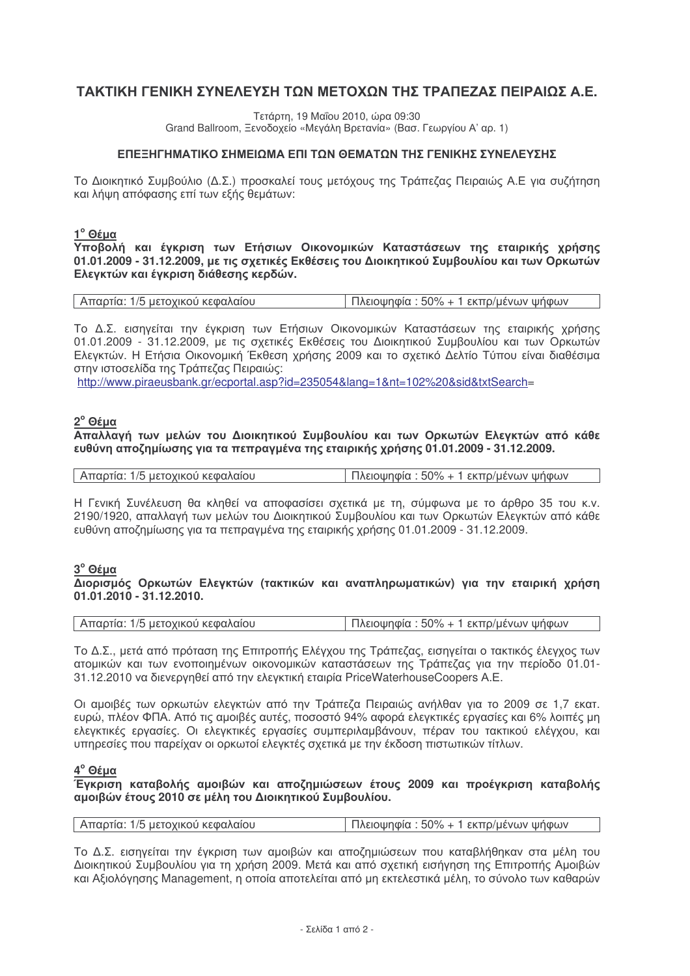# ΤΑΚΤΙΚΗ ΓΕΝΙΚΗ ΣΥΝΕΛΕΥΣΗ ΤΩΝ ΜΕΤΟΧΩΝ ΤΗΣ ΤΡΑΠΕΖΑΣ ΠΕΙΡΑΙΩΣ Α.Ε.

Τετάρτη, 19 Μαΐου 2010, ώρα 09:30 Grand Ballroom, Ξενοδοχείο «Μεγάλη Βρετανία» (Βασ. Γεωργίου Α' αρ. 1)

### ΕΠΕΞΗΓΗΜΑΤΙΚΟ ΣΗΜΕΙΟΜΑ ΕΠΙ ΤΟΝ ΘΕΜΑΤΟΝ ΤΗΣ ΓΕΝΙΚΗΣ ΣΥΝΕΛΕΥΣΗΣ

Το Διοικητικό Συμβούλιο (Δ.Σ.) προσκαλεί τους μετόχους της Τράπεζας Πειραιώς Α.Ε για συζήτηση και λήψη απόφασης επί των εξής θεμάτων:

#### $1^\circ$  Θέμα

Υποβολή και έγκριση των Ετήσιων Οικονομικών Καταστάσεων της εταιρικής χρήσης 01.01.2009 - 31.12.2009, με τις σχετικές Εκθέσεις του Διοικητικού Συμβουλίου και των Ορκωτών Ελεγκτών και έγκριση διάθεσης κερδών.

| Απαρτία: 1/5 μετοχικού κεφαλαίου | Πλειοψηφία : 50% + 1 εκπρ/μένων ψήφων |
|----------------------------------|---------------------------------------|
|                                  |                                       |

Το Δ.Σ. εισηγείται την έγκριση των Ετήσιων Οικονομικών Καταστάσεων της εταιρικής χρήσης 01.01.2009 - 31.12.2009, με τις σχετικές Εκθέσεις του Διοικητικού Συμβουλίου και των Ορκωτών Ελεγκτών. Η Ετήσια Οικονομική Έκθεση χρήσης 2009 και το σχετικό Δελτίο Τύπου είναι διαθέσιμα στην ιστοσελίδα της Τράπεζας Πειραιώς:

http://www.piraeusbank.gr/ecportal.asp?id=235054&lang=1&nt=102%20&sid&txtSearch=

#### 2<sup>°</sup> Θέμα

Απαλλαγή των μελών του Διοικητικού Συμβουλίου και των Ορκωτών Ελεγκτών από κάθε ευθύνη αποζημίωσης για τα πεπραγμένα της εταιρικής χρήσης 01.01.2009 - 31.12.2009.

| Απαρτία: 1/5 μετοχικού κεφαλαίου | Πλειοψηφία : 50% + 1 εκπρ/μένων ψήφων |
|----------------------------------|---------------------------------------|
|----------------------------------|---------------------------------------|

Η Γενική Συνέλευση θα κληθεί να αποφασίσει σχετικά με τη, σύμφωνα με το άρθρο 35 του κ.ν. 2190/1920, απαλλαγή των μελών του Διοικητικού Συμβουλίου και των Ορκωτών Ελεγκτών από κάθε ευθύνη αποζημίωσης για τα πεπραγμένα της εταιρικής χρήσης 01.01.2009 - 31.12.2009.

### 3<sup>°</sup> Θέμα

Διορισμός Ορκωτών Ελενκτών (τακτικών και αναπληρωματικών) νια την εταιρική χρήση  $01.01.2010 - 31.12.2010$ 

| Απαρτία: 1/5 μετοχικού κεφαλαίου | Πλειοψηφία : 50% + 1 εκπρ/μένων ψήφων |
|----------------------------------|---------------------------------------|

Το Δ.Σ., μετά από πρόταση της Επιτροπής Ελέγχου της Τράπεζας, εισηγείται ο τακτικός έλεγχος των ατομικών και των ενοποιημένων οικονομικών καταστάσεων της Τράπεζας για την περίοδο 01.01-31.12.2010 να διενεργηθεί από την ελεγκτική εταιρία PriceWaterhouseCoopers A.E.

Οι αμοιβές των ορκωτών ελεγκτών από την Τράπεζα Πειραιώς ανήλθαν για το 2009 σε 1.7 εκατ. ευρώ, πλέον ΦΠΑ. Από τις αμοιβές αυτές, ποσοστό 94% αφορά ελεγκτικές εργασίες και 6% λοιπές μη ελεγκτικές εργασίες. Οι ελεγκτικές εργασίες συμπεριλαμβάνουν, πέραν του τακτικού ελένχου, και υπηρεσίες που παρείχαν οι ορκωτοί ελεγκτές σχετικά με την έκδοση πιστωτικών τίτλων.

 $4^\circ$  Θέμα

Ένκριση καταβολής αμοιβών και αποζημιώσεων έτους 2009 και προέγκριση καταβολής αμοιβών έτους 2010 σε μέλη του Διοικητικού Συμβουλίου.

| Απαρτία: 1/5 μετοχικού κεφαλαίου | Πλειοψηφία : 50% + 1 εκπρ/μένων ψήφων |
|----------------------------------|---------------------------------------|
|----------------------------------|---------------------------------------|

Το Δ.Σ. εισηγείται την έγκριση των αμοιβών και αποζημιώσεων που καταβλήθηκαν στα μέλη του Διοικητικού Συμβουλίου για τη χρήση 2009. Μετά και από σχετική εισήγηση της Επιτροπής Αμοιβών και Αξιολόγησης Management, η οποία αποτελείται από μη εκτελεστικά μέλη, το σύνολο των καθαρών